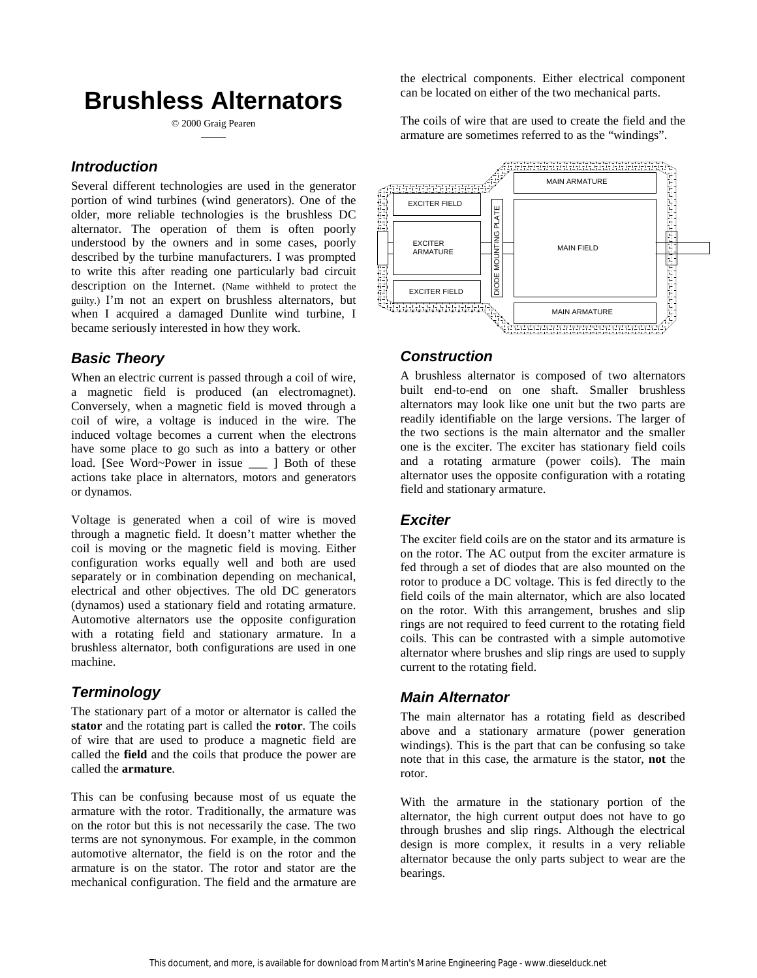# **Brushless Alternators**

© 2000 Graig Pearen ——

#### *Introduction*

Several different technologies are used in the generator portion of wind turbines (wind generators). One of the older, more reliable technologies is the brushless DC alternator. The operation of them is often poorly understood by the owners and in some cases, poorly described by the turbine manufacturers. I was prompted to write this after reading one particularly bad circuit description on the Internet. (Name withheld to protect the guilty.) I'm not an expert on brushless alternators, but when I acquired a damaged Dunlite wind turbine, I became seriously interested in how they work.

#### *Basic Theory*

When an electric current is passed through a coil of wire, a magnetic field is produced (an electromagnet). Conversely, when a magnetic field is moved through a coil of wire, a voltage is induced in the wire. The induced voltage becomes a current when the electrons have some place to go such as into a battery or other load. [See Word~Power in issue \_\_\_ ] Both of these actions take place in alternators, motors and generators or dynamos.

Voltage is generated when a coil of wire is moved through a magnetic field. It doesn't matter whether the coil is moving or the magnetic field is moving. Either configuration works equally well and both are used separately or in combination depending on mechanical, electrical and other objectives. The old DC generators (dynamos) used a stationary field and rotating armature. Automotive alternators use the opposite configuration with a rotating field and stationary armature. In a brushless alternator, both configurations are used in one machine.

# *Terminology*

The stationary part of a motor or alternator is called the **stator** and the rotating part is called the **rotor**. The coils of wire that are used to produce a magnetic field are called the **field** and the coils that produce the power are called the **armature**.

This can be confusing because most of us equate the armature with the rotor. Traditionally, the armature was on the rotor but this is not necessarily the case. The two terms are not synonymous. For example, in the common automotive alternator, the field is on the rotor and the armature is on the stator. The rotor and stator are the mechanical configuration. The field and the armature are the electrical components. Either electrical component can be located on either of the two mechanical parts.

The coils of wire that are used to create the field and the armature are sometimes referred to as the "windings".



#### *Construction*

A brushless alternator is composed of two alternators built end-to-end on one shaft. Smaller brushless alternators may look like one unit but the two parts are readily identifiable on the large versions. The larger of the two sections is the main alternator and the smaller one is the exciter. The exciter has stationary field coils and a rotating armature (power coils). The main alternator uses the opposite configuration with a rotating field and stationary armature.

#### *Exciter*

The exciter field coils are on the stator and its armature is on the rotor. The AC output from the exciter armature is fed through a set of diodes that are also mounted on the rotor to produce a DC voltage. This is fed directly to the field coils of the main alternator, which are also located on the rotor. With this arrangement, brushes and slip rings are not required to feed current to the rotating field coils. This can be contrasted with a simple automotive alternator where brushes and slip rings are used to supply current to the rotating field.

# *Main Alternator*

The main alternator has a rotating field as described above and a stationary armature (power generation windings). This is the part that can be confusing so take note that in this case, the armature is the stator, **not** the rotor.

With the armature in the stationary portion of the alternator, the high current output does not have to go through brushes and slip rings. Although the electrical design is more complex, it results in a very reliable alternator because the only parts subject to wear are the bearings.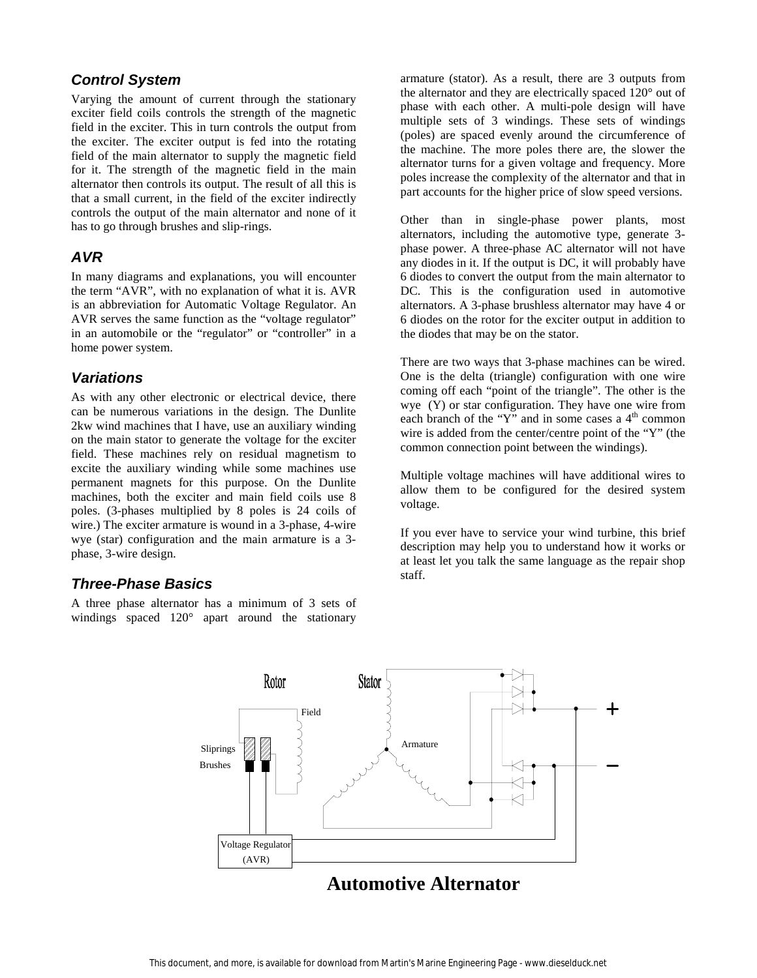#### *Control System*

Varying the amount of current through the stationary exciter field coils controls the strength of the magnetic field in the exciter. This in turn controls the output from the exciter. The exciter output is fed into the rotating field of the main alternator to supply the magnetic field for it. The strength of the magnetic field in the main alternator then controls its output. The result of all this is that a small current, in the field of the exciter indirectly controls the output of the main alternator and none of it has to go through brushes and slip-rings.

# *AVR*

In many diagrams and explanations, you will encounter the term "AVR", with no explanation of what it is. AVR is an abbreviation for Automatic Voltage Regulator. An AVR serves the same function as the "voltage regulator" in an automobile or the "regulator" or "controller" in a home power system.

#### *Variations*

As with any other electronic or electrical device, there can be numerous variations in the design. The Dunlite 2kw wind machines that I have, use an auxiliary winding on the main stator to generate the voltage for the exciter field. These machines rely on residual magnetism to excite the auxiliary winding while some machines use permanent magnets for this purpose. On the Dunlite machines, both the exciter and main field coils use 8 poles. (3-phases multiplied by 8 poles is 24 coils of wire.) The exciter armature is wound in a 3-phase, 4-wire wye (star) configuration and the main armature is a 3 phase, 3-wire design.

# *Three-Phase Basics*

A three phase alternator has a minimum of 3 sets of windings spaced 120° apart around the stationary armature (stator). As a result, there are 3 outputs from the alternator and they are electrically spaced 120° out of phase with each other. A multi-pole design will have multiple sets of 3 windings. These sets of windings (poles) are spaced evenly around the circumference of the machine. The more poles there are, the slower the alternator turns for a given voltage and frequency. More poles increase the complexity of the alternator and that in part accounts for the higher price of slow speed versions.

Other than in single-phase power plants, most alternators, including the automotive type, generate 3 phase power. A three-phase AC alternator will not have any diodes in it. If the output is DC, it will probably have 6 diodes to convert the output from the main alternator to DC. This is the configuration used in automotive alternators. A 3-phase brushless alternator may have 4 or 6 diodes on the rotor for the exciter output in addition to the diodes that may be on the stator.

There are two ways that 3-phase machines can be wired. One is the delta (triangle) configuration with one wire coming off each "point of the triangle". The other is the wye (Y) or star configuration. They have one wire from each branch of the "Y" and in some cases a  $4<sup>th</sup>$  common wire is added from the center/centre point of the "Y" (the common connection point between the windings).

Multiple voltage machines will have additional wires to allow them to be configured for the desired system voltage.

If you ever have to service your wind turbine, this brief description may help you to understand how it works or at least let you talk the same language as the repair shop staff.



# **Automotive Alternator**